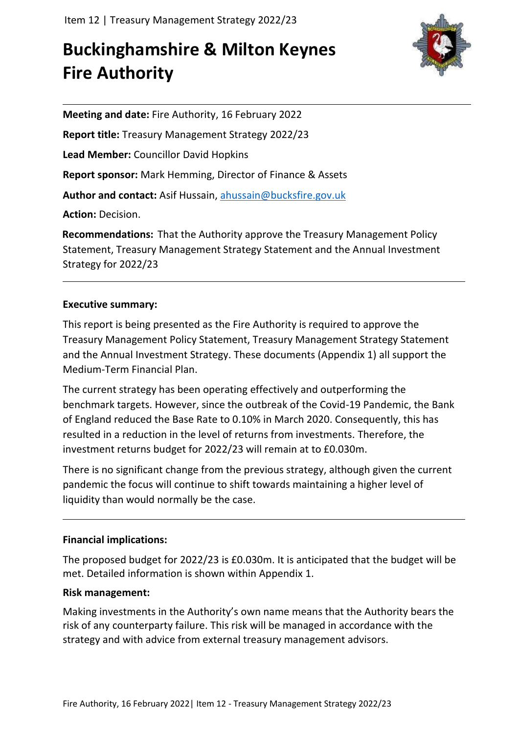# **Buckinghamshire & Milton Keynes Fire Authority**



**Meeting and date:** Fire Authority, 16 February 2022 **Report title:** Treasury Management Strategy 2022/23 **Lead Member:** Councillor David Hopkins **Report sponsor:** Mark Hemming, Director of Finance & Assets **Author and contact:** Asif Hussain, [ahussain@bucksfire.gov.uk](mailto:ahussain@bucksfire.gov.uk) **Action:** Decision.

**Recommendations:** That the Authority approve the Treasury Management Policy Statement, Treasury Management Strategy Statement and the Annual Investment Strategy for 2022/23

# **Executive summary:**

This report is being presented as the Fire Authority is required to approve the Treasury Management Policy Statement, Treasury Management Strategy Statement and the Annual Investment Strategy. These documents (Appendix 1) all support the Medium-Term Financial Plan.

The current strategy has been operating effectively and outperforming the benchmark targets. However, since the outbreak of the Covid-19 Pandemic, the Bank of England reduced the Base Rate to 0.10% in March 2020. Consequently, this has resulted in a reduction in the level of returns from investments. Therefore, the investment returns budget for 2022/23 will remain at to £0.030m.

There is no significant change from the previous strategy, although given the current pandemic the focus will continue to shift towards maintaining a higher level of liquidity than would normally be the case.

## **Financial implications:**

The proposed budget for 2022/23 is £0.030m. It is anticipated that the budget will be met. Detailed information is shown within Appendix 1.

## **Risk management:**

Making investments in the Authority's own name means that the Authority bears the risk of any counterparty failure. This risk will be managed in accordance with the strategy and with advice from external treasury management advisors.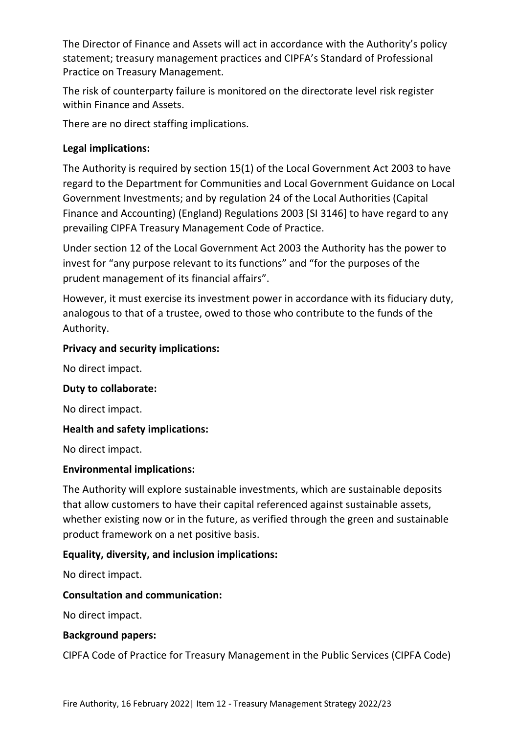The Director of Finance and Assets will act in accordance with the Authority's policy statement; treasury management practices and CIPFA's Standard of Professional Practice on Treasury Management.

The risk of counterparty failure is monitored on the directorate level risk register within Finance and Assets.

There are no direct staffing implications.

# **Legal implications:**

The Authority is required by section 15(1) of the Local Government Act 2003 to have regard to the Department for Communities and Local Government Guidance on Local Government Investments; and by regulation 24 of the Local Authorities (Capital Finance and Accounting) (England) Regulations 2003 [SI 3146] to have regard to any prevailing CIPFA Treasury Management Code of Practice.

Under section 12 of the Local Government Act 2003 the Authority has the power to invest for "any purpose relevant to its functions" and "for the purposes of the prudent management of its financial affairs".

However, it must exercise its investment power in accordance with its fiduciary duty, analogous to that of a trustee, owed to those who contribute to the funds of the Authority.

## **Privacy and security implications:**

No direct impact.

## **Duty to collaborate:**

No direct impact.

## **Health and safety implications:**

No direct impact.

## **Environmental implications:**

The Authority will explore sustainable investments, which are sustainable deposits that allow customers to have their capital referenced against sustainable assets, whether existing now or in the future, as verified through the green and sustainable product framework on a net positive basis.

## **Equality, diversity, and inclusion implications:**

No direct impact.

## **Consultation and communication:**

No direct impact.

## **Background papers:**

CIPFA Code of Practice for Treasury Management in the Public Services (CIPFA Code)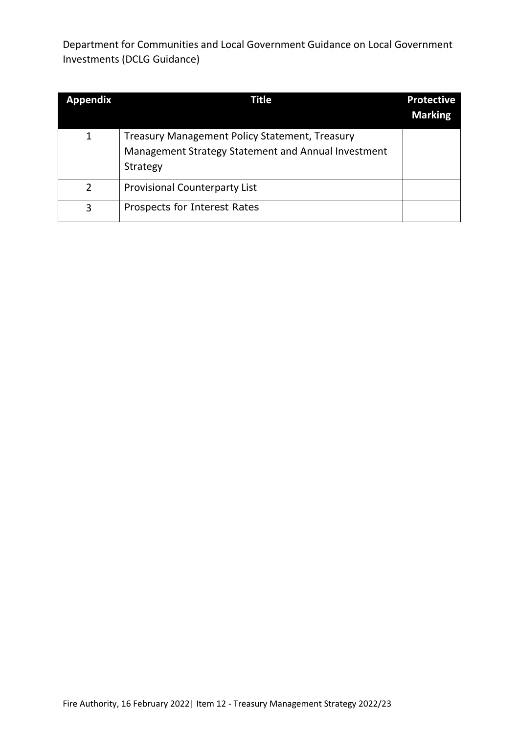Department for Communities and Local Government Guidance on Local Government Investments (DCLG Guidance)

| <b>Appendix</b> | Title                                                                                                                    | <b>Protective</b><br><b>Marking</b> |
|-----------------|--------------------------------------------------------------------------------------------------------------------------|-------------------------------------|
| 1               | <b>Treasury Management Policy Statement, Treasury</b><br>Management Strategy Statement and Annual Investment<br>Strategy |                                     |
| $\mathcal{P}$   | <b>Provisional Counterparty List</b>                                                                                     |                                     |
| 3               | Prospects for Interest Rates                                                                                             |                                     |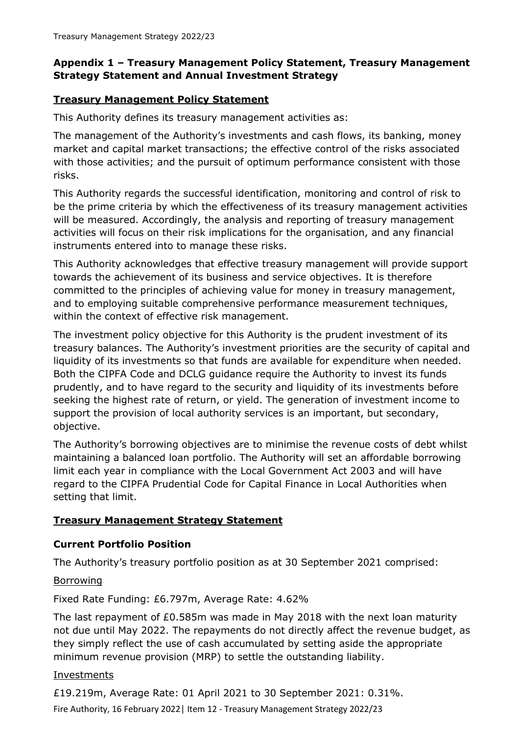## **Appendix 1 – Treasury Management Policy Statement, Treasury Management Strategy Statement and Annual Investment Strategy**

## **Treasury Management Policy Statement**

This Authority defines its treasury management activities as:

The management of the Authority's investments and cash flows, its banking, money market and capital market transactions; the effective control of the risks associated with those activities; and the pursuit of optimum performance consistent with those risks.

This Authority regards the successful identification, monitoring and control of risk to be the prime criteria by which the effectiveness of its treasury management activities will be measured. Accordingly, the analysis and reporting of treasury management activities will focus on their risk implications for the organisation, and any financial instruments entered into to manage these risks.

This Authority acknowledges that effective treasury management will provide support towards the achievement of its business and service objectives. It is therefore committed to the principles of achieving value for money in treasury management, and to employing suitable comprehensive performance measurement techniques, within the context of effective risk management.

The investment policy objective for this Authority is the prudent investment of its treasury balances. The Authority's investment priorities are the security of capital and liquidity of its investments so that funds are available for expenditure when needed. Both the CIPFA Code and DCLG guidance require the Authority to invest its funds prudently, and to have regard to the security and liquidity of its investments before seeking the highest rate of return, or yield. The generation of investment income to support the provision of local authority services is an important, but secondary, objective.

The Authority's borrowing objectives are to minimise the revenue costs of debt whilst maintaining a balanced loan portfolio. The Authority will set an affordable borrowing limit each year in compliance with the Local Government Act 2003 and will have regard to the CIPFA Prudential Code for Capital Finance in Local Authorities when setting that limit.

## **Treasury Management Strategy Statement**

## **Current Portfolio Position**

The Authority's treasury portfolio position as at 30 September 2021 comprised:

#### Borrowing

Fixed Rate Funding: £6.797m, Average Rate: 4.62%

The last repayment of £0.585m was made in May 2018 with the next loan maturity not due until May 2022. The repayments do not directly affect the revenue budget, as they simply reflect the use of cash accumulated by setting aside the appropriate minimum revenue provision (MRP) to settle the outstanding liability.

#### Investments

Fire Authority, 16 February 2022| Item 12 - Treasury Management Strategy 2022/23 £19.219m, Average Rate: 01 April 2021 to 30 September 2021: 0.31%.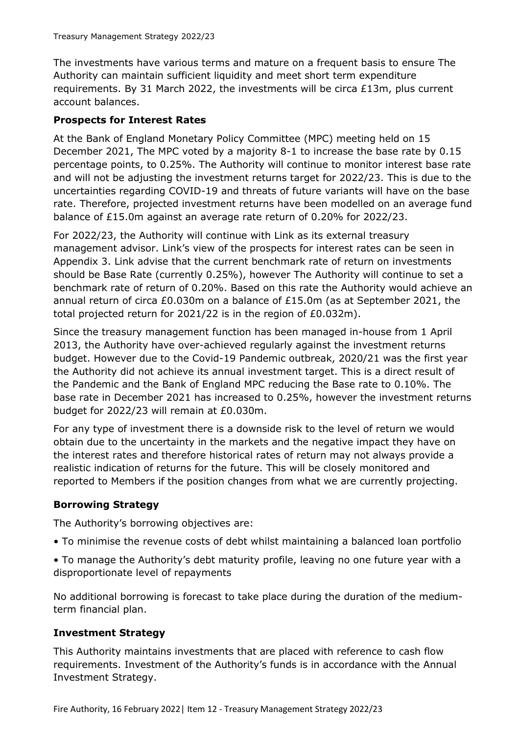The investments have various terms and mature on a frequent basis to ensure The Authority can maintain sufficient liquidity and meet short term expenditure requirements. By 31 March 2022, the investments will be circa £13m, plus current account balances.

## **Prospects for Interest Rates**

At the Bank of England Monetary Policy Committee (MPC) meeting held on 15 December 2021, The MPC voted by a majority 8-1 to increase the base rate by 0.15 percentage points, to 0.25%. The Authority will continue to monitor interest base rate and will not be adjusting the investment returns target for 2022/23. This is due to the uncertainties regarding COVID-19 and threats of future variants will have on the base rate. Therefore, projected investment returns have been modelled on an average fund balance of £15.0m against an average rate return of 0.20% for 2022/23.

For 2022/23, the Authority will continue with Link as its external treasury management advisor. Link's view of the prospects for interest rates can be seen in Appendix 3. Link advise that the current benchmark rate of return on investments should be Base Rate (currently 0.25%), however The Authority will continue to set a benchmark rate of return of 0.20%. Based on this rate the Authority would achieve an annual return of circa £0.030m on a balance of £15.0m (as at September 2021, the total projected return for 2021/22 is in the region of £0.032m).

Since the treasury management function has been managed in-house from 1 April 2013, the Authority have over-achieved regularly against the investment returns budget. However due to the Covid-19 Pandemic outbreak, 2020/21 was the first year the Authority did not achieve its annual investment target. This is a direct result of the Pandemic and the Bank of England MPC reducing the Base rate to 0.10%. The base rate in December 2021 has increased to 0.25%, however the investment returns budget for 2022/23 will remain at £0.030m.

For any type of investment there is a downside risk to the level of return we would obtain due to the uncertainty in the markets and the negative impact they have on the interest rates and therefore historical rates of return may not always provide a realistic indication of returns for the future. This will be closely monitored and reported to Members if the position changes from what we are currently projecting.

## **Borrowing Strategy**

The Authority's borrowing objectives are:

- To minimise the revenue costs of debt whilst maintaining a balanced loan portfolio
- To manage the Authority's debt maturity profile, leaving no one future year with a disproportionate level of repayments

No additional borrowing is forecast to take place during the duration of the mediumterm financial plan.

## **Investment Strategy**

This Authority maintains investments that are placed with reference to cash flow requirements. Investment of the Authority's funds is in accordance with the Annual Investment Strategy.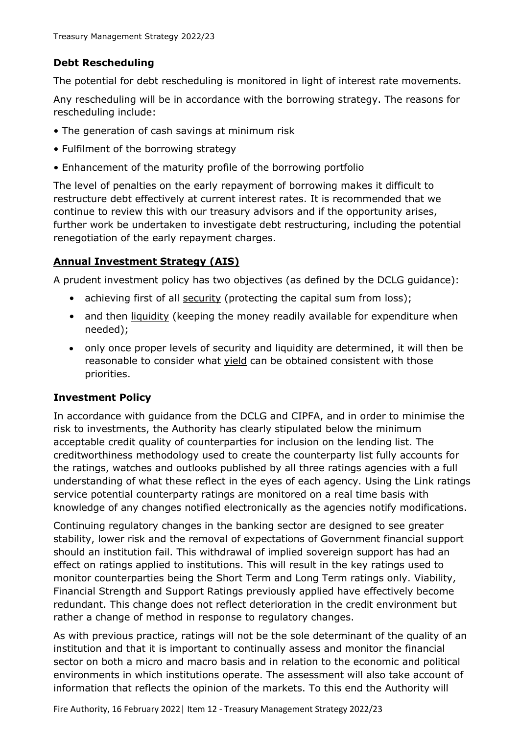## **Debt Rescheduling**

The potential for debt rescheduling is monitored in light of interest rate movements.

Any rescheduling will be in accordance with the borrowing strategy. The reasons for rescheduling include:

- The generation of cash savings at minimum risk
- Fulfilment of the borrowing strategy
- Enhancement of the maturity profile of the borrowing portfolio

The level of penalties on the early repayment of borrowing makes it difficult to restructure debt effectively at current interest rates. It is recommended that we continue to review this with our treasury advisors and if the opportunity arises, further work be undertaken to investigate debt restructuring, including the potential renegotiation of the early repayment charges.

# **Annual Investment Strategy (AIS)**

A prudent investment policy has two objectives (as defined by the DCLG guidance):

- achieving first of all security (protecting the capital sum from loss);
- and then liquidity (keeping the money readily available for expenditure when needed);
- only once proper levels of security and liquidity are determined, it will then be reasonable to consider what yield can be obtained consistent with those priorities.

## **Investment Policy**

In accordance with guidance from the DCLG and CIPFA, and in order to minimise the risk to investments, the Authority has clearly stipulated below the minimum acceptable credit quality of counterparties for inclusion on the lending list. The creditworthiness methodology used to create the counterparty list fully accounts for the ratings, watches and outlooks published by all three ratings agencies with a full understanding of what these reflect in the eyes of each agency. Using the Link ratings service potential counterparty ratings are monitored on a real time basis with knowledge of any changes notified electronically as the agencies notify modifications.

Continuing regulatory changes in the banking sector are designed to see greater stability, lower risk and the removal of expectations of Government financial support should an institution fail. This withdrawal of implied sovereign support has had an effect on ratings applied to institutions. This will result in the key ratings used to monitor counterparties being the Short Term and Long Term ratings only. Viability, Financial Strength and Support Ratings previously applied have effectively become redundant. This change does not reflect deterioration in the credit environment but rather a change of method in response to regulatory changes.

As with previous practice, ratings will not be the sole determinant of the quality of an institution and that it is important to continually assess and monitor the financial sector on both a micro and macro basis and in relation to the economic and political environments in which institutions operate. The assessment will also take account of information that reflects the opinion of the markets. To this end the Authority will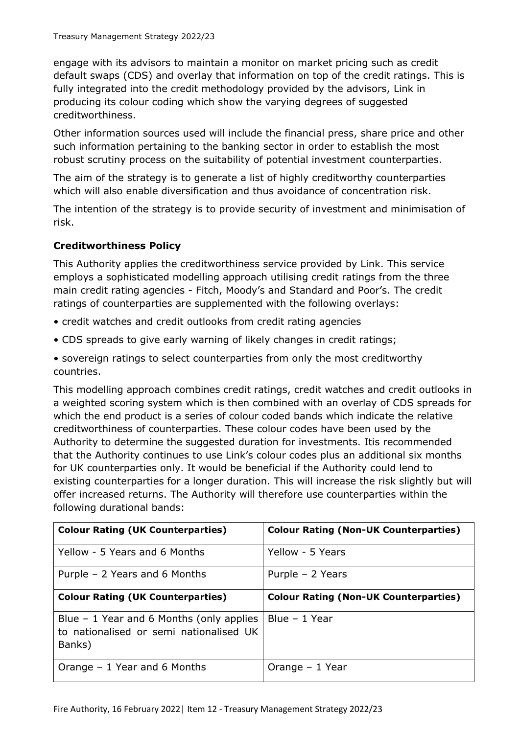engage with its advisors to maintain a monitor on market pricing such as credit default swaps (CDS) and overlay that information on top of the credit ratings. This is fully integrated into the credit methodology provided by the advisors, Link in producing its colour coding which show the varying degrees of suggested creditworthiness.

Other information sources used will include the financial press, share price and other such information pertaining to the banking sector in order to establish the most robust scrutiny process on the suitability of potential investment counterparties.

The aim of the strategy is to generate a list of highly creditworthy counterparties which will also enable diversification and thus avoidance of concentration risk.

The intention of the strategy is to provide security of investment and minimisation of risk.

## **Creditworthiness Policy**

This Authority applies the creditworthiness service provided by Link. This service employs a sophisticated modelling approach utilising credit ratings from the three main credit rating agencies - Fitch, Moody's and Standard and Poor's. The credit ratings of counterparties are supplemented with the following overlays:

- credit watches and credit outlooks from credit rating agencies
- CDS spreads to give early warning of likely changes in credit ratings;

• sovereign ratings to select counterparties from only the most creditworthy countries.

This modelling approach combines credit ratings, credit watches and credit outlooks in a weighted scoring system which is then combined with an overlay of CDS spreads for which the end product is a series of colour coded bands which indicate the relative creditworthiness of counterparties. These colour codes have been used by the Authority to determine the suggested duration for investments. Itis recommended that the Authority continues to use Link's colour codes plus an additional six months for UK counterparties only. It would be beneficial if the Authority could lend to existing counterparties for a longer duration. This will increase the risk slightly but will offer increased returns. The Authority will therefore use counterparties within the following durational bands:

| <b>Colour Rating (UK Counterparties)</b>                                                       | <b>Colour Rating (Non-UK Counterparties)</b> |
|------------------------------------------------------------------------------------------------|----------------------------------------------|
| Yellow - 5 Years and 6 Months                                                                  | Yellow - 5 Years                             |
| Purple $-$ 2 Years and 6 Months                                                                | Purple - 2 Years                             |
| <b>Colour Rating (UK Counterparties)</b>                                                       | <b>Colour Rating (Non-UK Counterparties)</b> |
| Blue $-1$ Year and 6 Months (only applies<br>to nationalised or semi nationalised UK<br>Banks) | Blue - 1 Year                                |
| Orange $-1$ Year and 6 Months                                                                  | Orange $-1$ Year                             |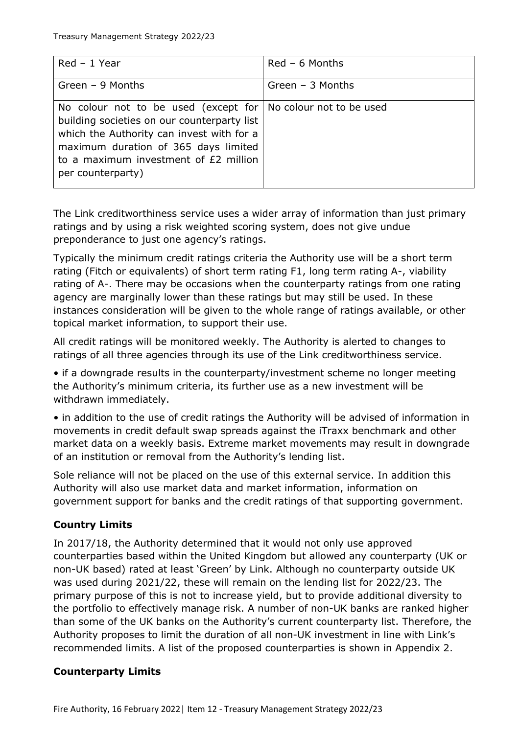| $Red - 1$ Year                                                                                                                                                                                                                                                    | $Red - 6$ Months  |
|-------------------------------------------------------------------------------------------------------------------------------------------------------------------------------------------------------------------------------------------------------------------|-------------------|
| Green $-9$ Months                                                                                                                                                                                                                                                 | Green $-3$ Months |
| No colour not to be used (except for   No colour not to be used<br>building societies on our counterparty list<br>which the Authority can invest with for a<br>maximum duration of 365 days limited<br>to a maximum investment of £2 million<br>per counterparty) |                   |

The Link creditworthiness service uses a wider array of information than just primary ratings and by using a risk weighted scoring system, does not give undue preponderance to just one agency's ratings.

Typically the minimum credit ratings criteria the Authority use will be a short term rating (Fitch or equivalents) of short term rating F1, long term rating A-, viability rating of A-. There may be occasions when the counterparty ratings from one rating agency are marginally lower than these ratings but may still be used. In these instances consideration will be given to the whole range of ratings available, or other topical market information, to support their use.

All credit ratings will be monitored weekly. The Authority is alerted to changes to ratings of all three agencies through its use of the Link creditworthiness service.

• if a downgrade results in the counterparty/investment scheme no longer meeting the Authority's minimum criteria, its further use as a new investment will be withdrawn immediately.

• in addition to the use of credit ratings the Authority will be advised of information in movements in credit default swap spreads against the iTraxx benchmark and other market data on a weekly basis. Extreme market movements may result in downgrade of an institution or removal from the Authority's lending list.

Sole reliance will not be placed on the use of this external service. In addition this Authority will also use market data and market information, information on government support for banks and the credit ratings of that supporting government.

# **Country Limits**

In 2017/18, the Authority determined that it would not only use approved counterparties based within the United Kingdom but allowed any counterparty (UK or non-UK based) rated at least 'Green' by Link. Although no counterparty outside UK was used during 2021/22, these will remain on the lending list for 2022/23. The primary purpose of this is not to increase yield, but to provide additional diversity to the portfolio to effectively manage risk. A number of non-UK banks are ranked higher than some of the UK banks on the Authority's current counterparty list. Therefore, the Authority proposes to limit the duration of all non-UK investment in line with Link's recommended limits. A list of the proposed counterparties is shown in Appendix 2.

## **Counterparty Limits**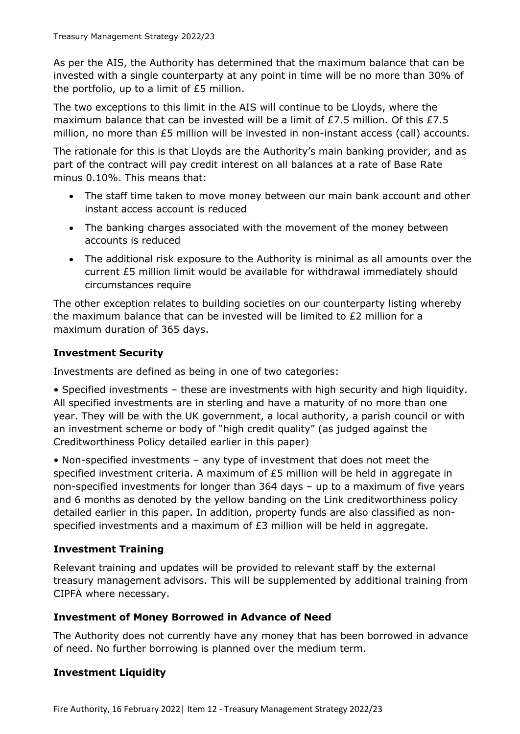As per the AIS, the Authority has determined that the maximum balance that can be invested with a single counterparty at any point in time will be no more than 30% of the portfolio, up to a limit of £5 million.

The two exceptions to this limit in the AIS will continue to be Lloyds, where the maximum balance that can be invested will be a limit of £7.5 million. Of this £7.5 million, no more than £5 million will be invested in non-instant access (call) accounts.

The rationale for this is that Lloyds are the Authority's main banking provider, and as part of the contract will pay credit interest on all balances at a rate of Base Rate minus 0.10%. This means that:

- The staff time taken to move money between our main bank account and other instant access account is reduced
- The banking charges associated with the movement of the money between accounts is reduced
- The additional risk exposure to the Authority is minimal as all amounts over the current £5 million limit would be available for withdrawal immediately should circumstances require

The other exception relates to building societies on our counterparty listing whereby the maximum balance that can be invested will be limited to £2 million for a maximum duration of 365 days.

## **Investment Security**

Investments are defined as being in one of two categories:

• Specified investments – these are investments with high security and high liquidity. All specified investments are in sterling and have a maturity of no more than one year. They will be with the UK government, a local authority, a parish council or with an investment scheme or body of "high credit quality" (as judged against the Creditworthiness Policy detailed earlier in this paper)

• Non-specified investments – any type of investment that does not meet the specified investment criteria. A maximum of £5 million will be held in aggregate in non-specified investments for longer than 364 days – up to a maximum of five years and 6 months as denoted by the yellow banding on the Link creditworthiness policy detailed earlier in this paper. In addition, property funds are also classified as nonspecified investments and a maximum of  $E_3$  million will be held in aggregate.

## **Investment Training**

Relevant training and updates will be provided to relevant staff by the external treasury management advisors. This will be supplemented by additional training from CIPFA where necessary.

## **Investment of Money Borrowed in Advance of Need**

The Authority does not currently have any money that has been borrowed in advance of need. No further borrowing is planned over the medium term.

## **Investment Liquidity**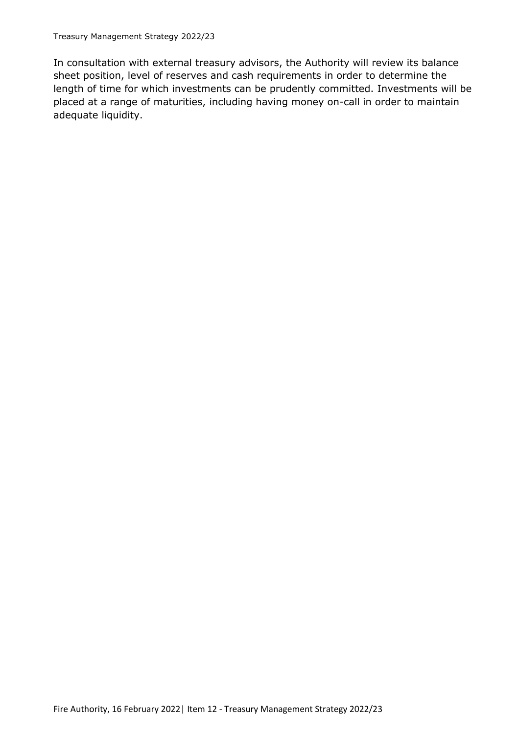In consultation with external treasury advisors, the Authority will review its balance sheet position, level of reserves and cash requirements in order to determine the length of time for which investments can be prudently committed. Investments will be placed at a range of maturities, including having money on-call in order to maintain adequate liquidity.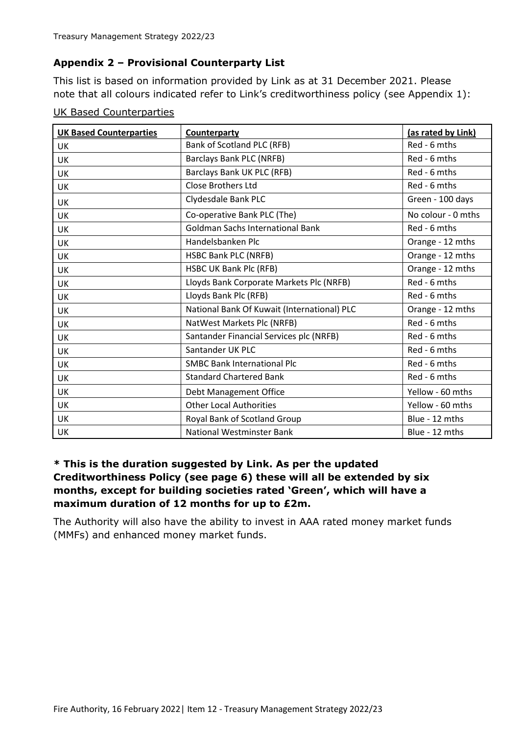## **Appendix 2 – Provisional Counterparty List**

This list is based on information provided by Link as at 31 December 2021. Please note that all colours indicated refer to Link's creditworthiness policy (see Appendix 1):

| <b>UK Based Counterparties</b> | Counterparty                                | (as rated by Link) |
|--------------------------------|---------------------------------------------|--------------------|
| <b>UK</b>                      | Bank of Scotland PLC (RFB)                  | Red - 6 mths       |
| <b>UK</b>                      | Barclays Bank PLC (NRFB)                    | Red - 6 mths       |
| <b>UK</b>                      | Barclays Bank UK PLC (RFB)                  | Red - 6 mths       |
| UK                             | <b>Close Brothers Ltd</b>                   | Red - 6 mths       |
| <b>UK</b>                      | Clydesdale Bank PLC                         | Green - 100 days   |
| <b>UK</b>                      | Co-operative Bank PLC (The)                 | No colour - 0 mths |
| UK                             | <b>Goldman Sachs International Bank</b>     | Red - 6 mths       |
| UK                             | Handelsbanken Plc                           | Orange - 12 mths   |
| UK                             | <b>HSBC Bank PLC (NRFB)</b>                 | Orange - 12 mths   |
| UK                             | HSBC UK Bank Plc (RFB)                      | Orange - 12 mths   |
| <b>UK</b>                      | Lloyds Bank Corporate Markets Plc (NRFB)    | Red - 6 mths       |
| UK                             | Lloyds Bank Plc (RFB)                       | Red - 6 mths       |
| <b>UK</b>                      | National Bank Of Kuwait (International) PLC | Orange - 12 mths   |
| UK                             | NatWest Markets Plc (NRFB)                  | Red - 6 mths       |
| <b>UK</b>                      | Santander Financial Services plc (NRFB)     | Red - 6 mths       |
| <b>UK</b>                      | Santander UK PLC                            | Red - 6 mths       |
| <b>UK</b>                      | <b>SMBC Bank International Plc</b>          | Red - 6 mths       |
| <b>UK</b>                      | <b>Standard Chartered Bank</b>              | Red - 6 mths       |
| UK                             | Debt Management Office                      | Yellow - 60 mths   |
| <b>UK</b>                      | <b>Other Local Authorities</b>              | Yellow - 60 mths   |
| UK                             | Royal Bank of Scotland Group                | Blue - 12 mths     |
| <b>UK</b>                      | <b>National Westminster Bank</b>            | Blue - 12 mths     |

UK Based Counterparties

## **\* This is the duration suggested by Link. As per the updated Creditworthiness Policy (see page 6) these will all be extended by six months, except for building societies rated 'Green', which will have a maximum duration of 12 months for up to £2m.**

The Authority will also have the ability to invest in AAA rated money market funds (MMFs) and enhanced money market funds.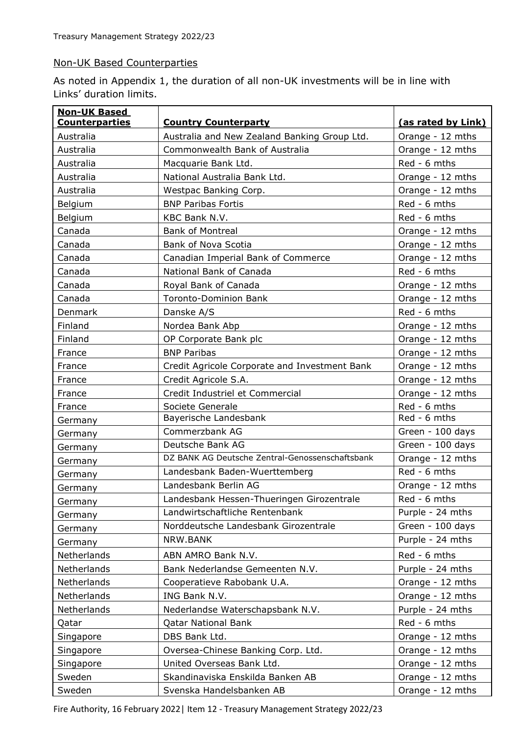#### Non-UK Based Counterparties

As noted in Appendix 1, the duration of all non-UK investments will be in line with Links' duration limits.

| <b>Non-UK Based</b>   |                                                 |                    |
|-----------------------|-------------------------------------------------|--------------------|
| <b>Counterparties</b> | <b>Country Counterparty</b>                     | (as rated by Link) |
| Australia             | Australia and New Zealand Banking Group Ltd.    | Orange - 12 mths   |
| Australia             | Commonwealth Bank of Australia                  | Orange - 12 mths   |
| Australia             | Macquarie Bank Ltd.                             | Red - 6 mths       |
| Australia             | National Australia Bank Ltd.                    | Orange - 12 mths   |
| Australia             | Westpac Banking Corp.                           | Orange - 12 mths   |
| Belgium               | <b>BNP Paribas Fortis</b>                       | Red - 6 mths       |
| Belgium               | KBC Bank N.V.                                   | Red - 6 mths       |
| Canada                | <b>Bank of Montreal</b>                         | Orange - 12 mths   |
| Canada                | <b>Bank of Nova Scotia</b>                      | Orange - 12 mths   |
| Canada                | Canadian Imperial Bank of Commerce              | Orange - 12 mths   |
| Canada                | National Bank of Canada                         | Red - 6 mths       |
| Canada                | Royal Bank of Canada                            | Orange - 12 mths   |
| Canada                | <b>Toronto-Dominion Bank</b>                    | Orange - 12 mths   |
| Denmark               | Danske A/S                                      | Red - 6 mths       |
| Finland               | Nordea Bank Abp                                 | Orange - 12 mths   |
| Finland               | OP Corporate Bank plc                           | Orange - 12 mths   |
| France                | <b>BNP Paribas</b>                              | Orange - 12 mths   |
| France                | Credit Agricole Corporate and Investment Bank   | Orange - 12 mths   |
| France                | Credit Agricole S.A.                            | Orange - 12 mths   |
| France                | Credit Industriel et Commercial                 | Orange - 12 mths   |
| France                | Societe Generale                                | Red - 6 mths       |
| Germany               | Bayerische Landesbank                           | Red - 6 mths       |
| Germany               | Commerzbank AG                                  | Green - 100 days   |
| Germany               | Deutsche Bank AG                                | Green - 100 days   |
| Germany               | DZ BANK AG Deutsche Zentral-Genossenschaftsbank | Orange - 12 mths   |
| Germany               | Landesbank Baden-Wuerttemberg                   | Red - 6 mths       |
| Germany               | Landesbank Berlin AG                            | Orange - 12 mths   |
| Germany               | Landesbank Hessen-Thueringen Girozentrale       | Red - 6 mths       |
| Germany               | Landwirtschaftliche Rentenbank                  | Purple - 24 mths   |
| Germany               | Norddeutsche Landesbank Girozentrale            | Green - 100 days   |
| Germany               | NRW.BANK                                        | Purple - 24 mths   |
| Netherlands           | ABN AMRO Bank N.V.                              | Red - 6 mths       |
| Netherlands           | Bank Nederlandse Gemeenten N.V.                 | Purple - 24 mths   |
| Netherlands           | Cooperatieve Rabobank U.A.                      | Orange - 12 mths   |
| Netherlands           | ING Bank N.V.                                   | Orange - 12 mths   |
| Netherlands           | Nederlandse Waterschapsbank N.V.                | Purple - 24 mths   |
| Qatar                 | <b>Qatar National Bank</b>                      | Red - 6 mths       |
| Singapore             | DBS Bank Ltd.                                   | Orange - 12 mths   |
| Singapore             | Oversea-Chinese Banking Corp. Ltd.              | Orange - 12 mths   |
| Singapore             | United Overseas Bank Ltd.                       | Orange - 12 mths   |
| Sweden                | Skandinaviska Enskilda Banken AB                | Orange - 12 mths   |
| Sweden                | Svenska Handelsbanken AB                        | Orange - 12 mths   |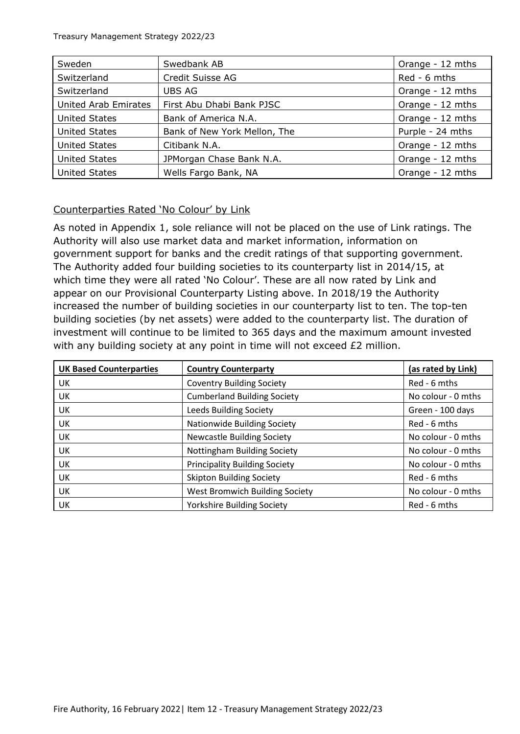| Sweden                      | Swedbank AB                  | Orange - 12 mths |
|-----------------------------|------------------------------|------------------|
| Switzerland                 | Credit Suisse AG             | Red - 6 mths     |
| Switzerland                 | <b>UBS AG</b>                | Orange - 12 mths |
| <b>United Arab Emirates</b> | First Abu Dhabi Bank PJSC    | Orange - 12 mths |
| <b>United States</b>        | Bank of America N.A.         | Orange - 12 mths |
| <b>United States</b>        | Bank of New York Mellon, The | Purple - 24 mths |
| <b>United States</b>        | Citibank N.A.                | Orange - 12 mths |
| <b>United States</b>        | JPMorgan Chase Bank N.A.     | Orange - 12 mths |
| <b>United States</b>        | Wells Fargo Bank, NA         | Orange - 12 mths |

## Counterparties Rated 'No Colour' by Link

As noted in Appendix 1, sole reliance will not be placed on the use of Link ratings. The Authority will also use market data and market information, information on government support for banks and the credit ratings of that supporting government. The Authority added four building societies to its counterparty list in 2014/15, at which time they were all rated 'No Colour'. These are all now rated by Link and appear on our Provisional Counterparty Listing above. In 2018/19 the Authority increased the number of building societies in our counterparty list to ten. The top-ten building societies (by net assets) were added to the counterparty list. The duration of investment will continue to be limited to 365 days and the maximum amount invested with any building society at any point in time will not exceed £2 million.

| <b>UK Based Counterparties</b> | <b>Country Counterparty</b>          | (as rated by Link) |
|--------------------------------|--------------------------------------|--------------------|
| UK                             | <b>Coventry Building Society</b>     | Red - 6 mths       |
| UK                             | <b>Cumberland Building Society</b>   | No colour - 0 mths |
| UK                             | <b>Leeds Building Society</b>        | Green - 100 days   |
| UK                             | <b>Nationwide Building Society</b>   | Red - 6 mths       |
| UK                             | <b>Newcastle Building Society</b>    | No colour - 0 mths |
| UK                             | Nottingham Building Society          | No colour - 0 mths |
| UK                             | <b>Principality Building Society</b> | No colour - 0 mths |
| UK                             | <b>Skipton Building Society</b>      | Red - 6 mths       |
| UK                             | West Bromwich Building Society       | No colour - 0 mths |
| UK                             | <b>Yorkshire Building Society</b>    | Red - 6 mths       |